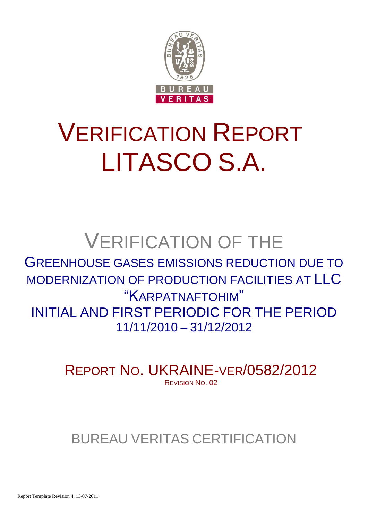

# VERIFICATION REPORT LITASCO S.A.

## VERIFICATION OF THE

### GREENHOUSE GASES EMISSIONS REDUCTION DUE TO MODERNIZATION OF PRODUCTION FACILITIES AT LLC "KARPATNAFTOHIM" INITIAL AND FIRST PERIODIC FOR THE PERIOD 11/11/2010 – 31/12/2012

REPORT NO. UKRAINE-VER/0582/2012 REVISION NO. 02

## BUREAU VERITAS CERTIFICATION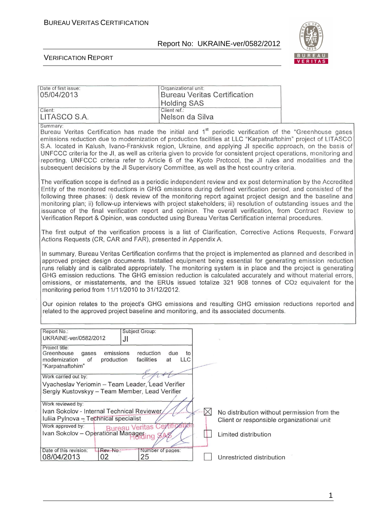te of first issue:  $\Box$  organizational unit:

#### Report No: UKRAINE-ver/0582/2012



#### VERIFICATION REPORT

| 05/04/2013                                                                                                                                                                                                                                                                                                                                                                                                                                                                                                                                                                                                                                                                                                                                                                                                            | Bureau Veritas Certification<br><b>Holding SAS</b> |                                                                                                                  |  |
|-----------------------------------------------------------------------------------------------------------------------------------------------------------------------------------------------------------------------------------------------------------------------------------------------------------------------------------------------------------------------------------------------------------------------------------------------------------------------------------------------------------------------------------------------------------------------------------------------------------------------------------------------------------------------------------------------------------------------------------------------------------------------------------------------------------------------|----------------------------------------------------|------------------------------------------------------------------------------------------------------------------|--|
| Client:<br>LITASCO S.A.                                                                                                                                                                                                                                                                                                                                                                                                                                                                                                                                                                                                                                                                                                                                                                                               | Client ref.:<br>Nelson da Silva                    |                                                                                                                  |  |
| Summary:<br>Bureau Veritas Certification has made the initial and 1 <sup>st</sup> periodic verification of the "Greenhouse gases<br>emissions reduction due to modernization of production facilities at LLC "Karpatnaftohim" project of LITASCO<br>S.A. located in Kalush, Ivano-Frankivsk region, Ukraine, and applying JI specific approach, on the basis of<br>UNFCCC criteria for the JI, as well as criteria given to provide for consistent project operations, monitoring and<br>reporting. UNFCCC criteria refer to Article 6 of the Kyoto Protocol, the JI rules and modalities and the<br>subsequent decisions by the JI Supervisory Committee, as well as the host country criteria.                                                                                                                      |                                                    |                                                                                                                  |  |
| The verification scope is defined as a periodic independent review and ex post determination by the Accredited<br>Entity of the monitored reductions in GHG emissions during defined verification period, and consisted of the<br>following three phases: i) desk review of the monitoring report against project design and the baseline and<br>monitoring plan; ii) follow-up interviews with project stakeholders; iii) resolution of outstanding issues and the<br>issuance of the final verification report and opinion. The overall verification, from Contract Review to<br>Verification Report & Opinion, was conducted using Bureau Veritas Certification internal procedures.                                                                                                                               |                                                    |                                                                                                                  |  |
| The first output of the verification process is a list of Clarification, Corrective Actions Requests, Forward<br>Actions Requests (CR, CAR and FAR), presented in Appendix A.                                                                                                                                                                                                                                                                                                                                                                                                                                                                                                                                                                                                                                         |                                                    |                                                                                                                  |  |
| In summary, Bureau Veritas Certification confirms that the project is implemented as planned and described in<br>approved project design documents. Installed equipment being essential for generating emission reduction<br>runs reliably and is calibrated appropriately. The monitoring system is in place and the project is generating<br>GHG emission reductions. The GHG emission reduction is calculated accurately and without material errors,<br>omissions, or misstatements, and the ERUs issued totalize 321 908 tonnes of CO2 equivalent for the<br>monitoring period from 11/11/2010 to 31/12/2012.<br>Our opinion relates to the project's GHG emissions and resulting GHG emission reductions reported and<br>related to the approved project baseline and monitoring, and its associated documents. |                                                    |                                                                                                                  |  |
| Report No.:<br>Subject Group:                                                                                                                                                                                                                                                                                                                                                                                                                                                                                                                                                                                                                                                                                                                                                                                         |                                                    |                                                                                                                  |  |
| UKRAINE-ver/0582/2012<br>JI<br>Project title:<br>emissions<br>reduction<br>Greenhouse<br>gases<br>modernization<br>production<br>facilities<br>of<br>"Karpatnaftohim"<br>$\overline{\phantom{a}}$<br>Work carried out by:                                                                                                                                                                                                                                                                                                                                                                                                                                                                                                                                                                                             | due<br>to<br>LLC<br>at                             |                                                                                                                  |  |
| Vyacheslav Yeriomin - Team Leader, Lead Verifier<br>Sergiy Kustovskyy - Team Member, Lead Verifier                                                                                                                                                                                                                                                                                                                                                                                                                                                                                                                                                                                                                                                                                                                    |                                                    |                                                                                                                  |  |
| Work reviewed by:<br>Ivan Sokolov - Internal Technical Reviewer<br>Iuliia Pylnova - Technical specialist<br>Work approved by:<br><b>Bureau Veritas</b><br>Ivan Sokolov - Operational Managering                                                                                                                                                                                                                                                                                                                                                                                                                                                                                                                                                                                                                       | $\boxtimes$                                        | No distribution without permission from the<br>Client or responsible organizational unit<br>Limited distribution |  |
| Date of this revision:<br>Rev. No.:<br>08/04/2013<br>02<br>25                                                                                                                                                                                                                                                                                                                                                                                                                                                                                                                                                                                                                                                                                                                                                         | Number of pages:                                   | Unrestricted distribution                                                                                        |  |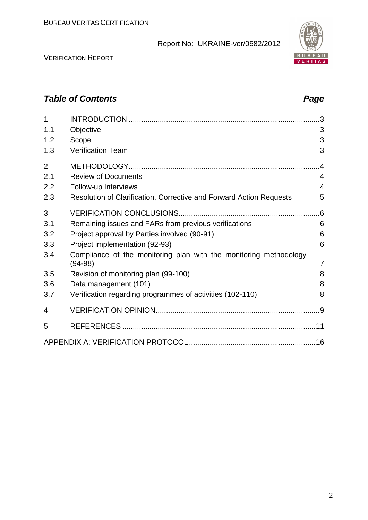VERIFICATION REPORT

## *Table of Contents Page*

| 1              |                                                                                |    |
|----------------|--------------------------------------------------------------------------------|----|
| 1.1            | Objective                                                                      | 3  |
| 1.2            | Scope                                                                          | 3  |
| 1.3            | <b>Verification Team</b>                                                       | 3  |
| $\overline{2}$ |                                                                                | .4 |
| 2.1            | <b>Review of Documents</b>                                                     | 4  |
| 2.2            | Follow-up Interviews                                                           | 4  |
| 2.3            | Resolution of Clarification, Corrective and Forward Action Requests            | 5  |
| 3              |                                                                                |    |
| 3.1            | Remaining issues and FARs from previous verifications                          | 6  |
| 3.2            | Project approval by Parties involved (90-91)                                   | 6  |
| 3.3            | Project implementation (92-93)                                                 | 6  |
| 3.4            | Compliance of the monitoring plan with the monitoring methodology<br>$(94-98)$ | 7  |
| 3.5            | Revision of monitoring plan (99-100)                                           | 8  |
| 3.6            | Data management (101)                                                          | 8  |
| 3.7            | Verification regarding programmes of activities (102-110)                      | 8  |
| 4              |                                                                                |    |
| 5              |                                                                                |    |
|                |                                                                                |    |

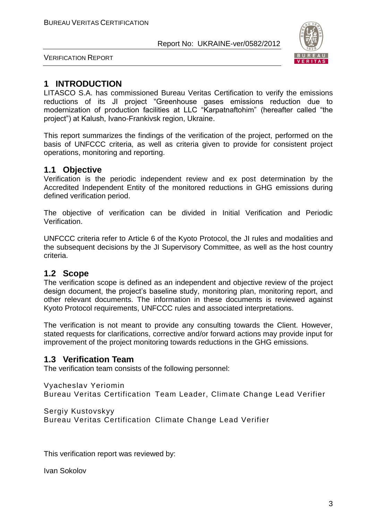

VERIFICATION REPORT

#### **1 INTRODUCTION**

LITASCO S.A. has commissioned Bureau Veritas Certification to verify the emissions reductions of its JI project "Greenhouse gases emissions reduction due to modernization of production facilities at LLC "Karpatnaftohim" (hereafter called "the project") at Kalush, Ivano-Frankivsk region, Ukraine.

This report summarizes the findings of the verification of the project, performed on the basis of UNFCCC criteria, as well as criteria given to provide for consistent project operations, monitoring and reporting.

#### **1.1 Objective**

Verification is the periodic independent review and ex post determination by the Accredited Independent Entity of the monitored reductions in GHG emissions during defined verification period.

The objective of verification can be divided in Initial Verification and Periodic Verification.

UNFCCC criteria refer to Article 6 of the Kyoto Protocol, the JI rules and modalities and the subsequent decisions by the JI Supervisory Committee, as well as the host country criteria.

#### **1.2 Scope**

The verification scope is defined as an independent and objective review of the project design document, the project's baseline study, monitoring plan, monitoring report, and other relevant documents. The information in these documents is reviewed against Kyoto Protocol requirements, UNFCCC rules and associated interpretations.

The verification is not meant to provide any consulting towards the Client. However, stated requests for clarifications, corrective and/or forward actions may provide input for improvement of the project monitoring towards reductions in the GHG emissions.

#### **1.3 Verification Team**

The verification team consists of the following personnel:

#### Vyacheslav Yeriomin

Bureau Veritas Certification Team Leader, Climate Change Lead Verifier

Sergiy Kustovskyy

Bureau Veritas Certification Climate Change Lead Verifier

This verification report was reviewed by:

Ivan Sokolov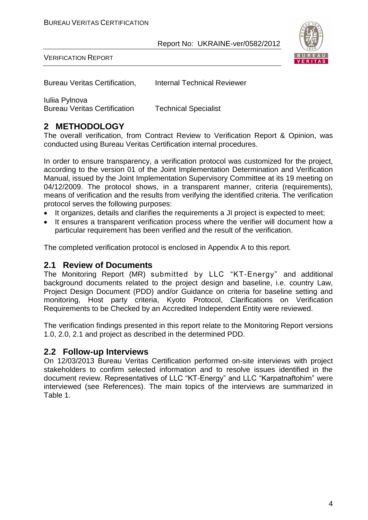

VERIFICATION REPORT

Bureau Veritas Certification, Internal Technical Reviewer

Iuliia Pylnova

Bureau Veritas Certification Technical Specialist

### **2 METHODOLOGY**

The overall verification, from Contract Review to Verification Report & Opinion, was conducted using Bureau Veritas Certification internal procedures.

In order to ensure transparency, a verification protocol was customized for the project, according to the version 01 of the Joint Implementation Determination and Verification Manual, issued by the Joint Implementation Supervisory Committee at its 19 meeting on 04/12/2009. The protocol shows, in a transparent manner, criteria (requirements), means of verification and the results from verifying the identified criteria. The verification protocol serves the following purposes:

- It organizes, details and clarifies the requirements a JI project is expected to meet;
- It ensures a transparent verification process where the verifier will document how a particular requirement has been verified and the result of the verification.

The completed verification protocol is enclosed in Appendix A to this report.

#### **2.1 Review of Documents**

The Monitoring Report (MR) submitted by LLC "KT-Energy" and additional background documents related to the project design and baseline, i.e. country Law, Project Design Document (PDD) and/or Guidance on criteria for baseline setting and monitoring, Host party criteria, Kyoto Protocol, Clarifications on Verification Requirements to be Checked by an Accredited Independent Entity were reviewed.

The verification findings presented in this report relate to the Monitoring Report versions 1.0, 2.0, 2.1 and project as described in the determined PDD.

#### **2.2 Follow-up Interviews**

On 12/03/2013 Bureau Veritas Certification performed on-site interviews with project stakeholders to confirm selected information and to resolve issues identified in the document review. Representatives of LLC "KT-Energy" and LLC "Karpatnaftohim" were interviewed (see References). The main topics of the interviews are summarized in Table 1.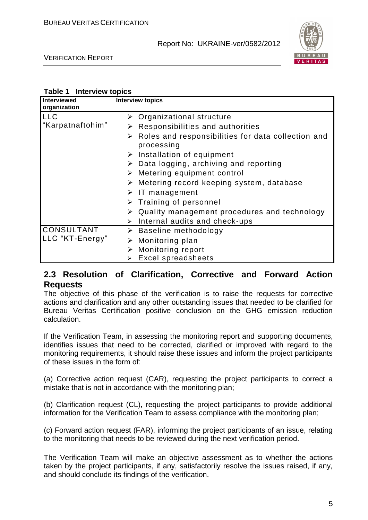

VERIFICATION REPORT

#### **Table 1 Interview topics**

| Interviewed<br>organization | <b>Interview topics</b>                                                           |
|-----------------------------|-----------------------------------------------------------------------------------|
| <b>LLC</b>                  | $\triangleright$ Organizational structure                                         |
| "Karpatnaftohim"            | $\triangleright$ Responsibilities and authorities                                 |
|                             | $\triangleright$ Roles and responsibilities for data collection and<br>processing |
|                             | $\triangleright$ Installation of equipment                                        |
|                             | $\triangleright$ Data logging, archiving and reporting                            |
|                             | $\triangleright$ Metering equipment control                                       |
|                             | $\triangleright$ Metering record keeping system, database                         |
|                             | $\triangleright$ IT management                                                    |
|                             | $\triangleright$ Training of personnel                                            |
|                             | $\triangleright$ Quality management procedures and technology                     |
|                             | Internal audits and check-ups<br>$\blacktriangleright$                            |
| CONSULTANT                  | $\triangleright$ Baseline methodology                                             |
| LLC "KT-Energy"             | $\triangleright$ Monitoring plan                                                  |
|                             | Monitoring report                                                                 |
|                             | <b>Excel spreadsheets</b>                                                         |

#### **2.3 Resolution of Clarification, Corrective and Forward Action Requests**

The objective of this phase of the verification is to raise the requests for corrective actions and clarification and any other outstanding issues that needed to be clarified for Bureau Veritas Certification positive conclusion on the GHG emission reduction calculation.

If the Verification Team, in assessing the monitoring report and supporting documents, identifies issues that need to be corrected, clarified or improved with regard to the monitoring requirements, it should raise these issues and inform the project participants of these issues in the form of:

(a) Corrective action request (CAR), requesting the project participants to correct a mistake that is not in accordance with the monitoring plan;

(b) Clarification request (CL), requesting the project participants to provide additional information for the Verification Team to assess compliance with the monitoring plan;

(c) Forward action request (FAR), informing the project participants of an issue, relating to the monitoring that needs to be reviewed during the next verification period.

The Verification Team will make an objective assessment as to whether the actions taken by the project participants, if any, satisfactorily resolve the issues raised, if any, and should conclude its findings of the verification.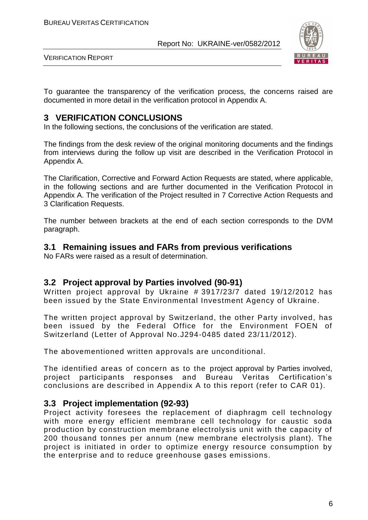

VERIFICATION REPORT

To guarantee the transparency of the verification process, the concerns raised are documented in more detail in the verification protocol in Appendix A.

#### **3 VERIFICATION CONCLUSIONS**

In the following sections, the conclusions of the verification are stated.

The findings from the desk review of the original monitoring documents and the findings from interviews during the follow up visit are described in the Verification Protocol in Appendix A.

The Clarification, Corrective and Forward Action Requests are stated, where applicable, in the following sections and are further documented in the Verification Protocol in Appendix A. The verification of the Project resulted in 7 Corrective Action Requests and 3 Clarification Requests.

The number between brackets at the end of each section corresponds to the DVM paragraph.

#### **3.1 Remaining issues and FARs from previous verifications**

No FARs were raised as a result of determination.

#### **3.2 Project approval by Parties involved (90-91)**

Written project approval by Ukraine # 3917/23/7 dated 19/12/2012 has been issued by the State Environmental Investment Agency of Ukraine.

The written project approval by Switzerland, the other Party involved, has been issued by the Federal Office for the Environment FOEN of Switzerland (Letter of Approval No.J294-0485 dated 23/11/2012).

The abovementioned written approvals are unconditional.

The identified areas of concern as to the project approval by Parties involved, project participants responses and Bureau Veritas Certification's conclusions are described in Appendix A to this report (refer to CAR 01).

#### **3.3 Project implementation (92-93)**

Project activity foresees the replacement of diaphragm cell technology with more energy efficient membrane cell technology for caustic soda production by construction membrane electrolysis unit with the capacity of 200 thousand tonnes per annum (new membrane electrolysis plant). The project is initiated in order to optimize energy resource consumption by the enterprise and to reduce greenhouse gases emissions.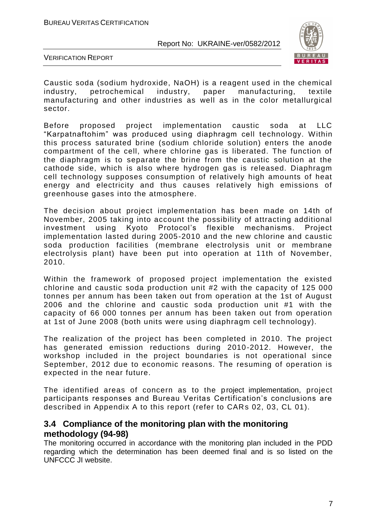

VERIFICATION REPORT

Caustic soda (sodium hydroxide, NaOH) is a reagent used in the chemical industry, petrochemical industry, paper manufacturing, textile manufacturing and other industries as well as in the color metallurgical sector.

Before proposed project implementation caustic soda at LLC "Karpatnaftohim" was produced using diaphragm cell technology. Within this process saturated brine (sodium chloride solution) enters the anode compartment of the cell, where chlorine gas is liberated. The function of the diaphragm is to separate the brine from the caustic solution at the cathode side, which is also where hydrogen gas is released. Diaphragm cell technology supposes consumption of relatively high amounts of heat energy and electricity and thus causes relatively high emissions of greenhouse gases into the atmosphere.

The decision about project implementation has been made on 14th of November, 2005 taking into account the possibility of attracting additional investment using Kyoto Protocol's flexible mechanisms. Project implementation lasted during 2005-2010 and the new chlorine and caustic soda production facilities (membrane electrolysis unit or membrane electrolysis plant) have been put into operation at 11th of November, 2010.

Within the framework of proposed project implementation the existed chlorine and caustic soda production unit #2 with the capacity of 125 000 tonnes per annum has been taken out from operation at the 1st of August 2006 and the chlorine and caustic soda production unit #1 with the capacity of 66 000 tonnes per annum has been taken out from operation at 1st of June 2008 (both units were using diaphragm cell technology).

The realization of the project has been completed in 2010. The project has generated emission reductions during 2010-2012. However, the workshop included in the project boundaries is not operational since September, 2012 due to economic reasons. The resuming of operation is expected in the near future.

The identified areas of concern as to the project implementation, project participants responses and Bureau Veritas Certification's conclusions are described in Appendix A to this report (refer to CARs 02, 03, CL 01).

#### **3.4 Compliance of the monitoring plan with the monitoring methodology (94-98)**

The monitoring occurred in accordance with the monitoring plan included in the PDD regarding which the determination has been deemed final and is so listed on the UNFCCC JI website.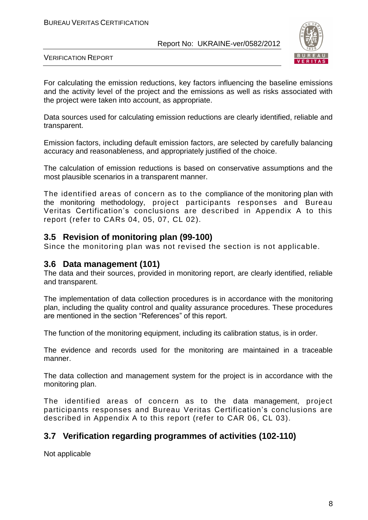

VERIFICATION REPORT

For calculating the emission reductions, key factors influencing the baseline emissions and the activity level of the project and the emissions as well as risks associated with the project were taken into account, as appropriate.

Data sources used for calculating emission reductions are clearly identified, reliable and transparent.

Emission factors, including default emission factors, are selected by carefully balancing accuracy and reasonableness, and appropriately justified of the choice.

The calculation of emission reductions is based on conservative assumptions and the most plausible scenarios in a transparent manner.

The identified areas of concern as to the compliance of the monitoring plan with the monitoring methodology, project participants responses and Bureau Veritas Certification's conclusions are described in Appendix A to this report (refer to CARs 04, 05, 07, CL 02).

#### **3.5 Revision of monitoring plan (99-100)**

Since the monitoring plan was not revised the section is not applicable.

#### **3.6 Data management (101)**

The data and their sources, provided in monitoring report, are clearly identified, reliable and transparent.

The implementation of data collection procedures is in accordance with the monitoring plan, including the quality control and quality assurance procedures. These procedures are mentioned in the section "References" of this report.

The function of the monitoring equipment, including its calibration status, is in order.

The evidence and records used for the monitoring are maintained in a traceable manner.

The data collection and management system for the project is in accordance with the monitoring plan.

The identified areas of concern as to the data management, project participants responses and Bureau Veritas Certification's conclusions are described in Appendix A to this report (refer to CAR 06, CL 03).

#### **3.7 Verification regarding programmes of activities (102-110)**

Not applicable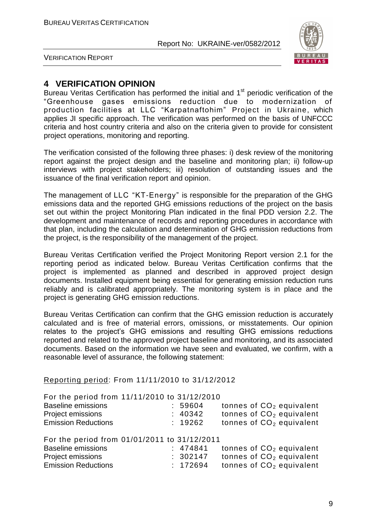

VERIFICATION REPORT

#### **4 VERIFICATION OPINION**

Bureau Veritas Certification has performed the initial and 1<sup>st</sup> periodic verification of the "Greenhouse gases emissions reduction due to modernization of production facilities at LLC "Karpatnaftohim" Project in Ukraine, which applies JI specific approach. The verification was performed on the basis of UNFCCC criteria and host country criteria and also on the criteria given to provide for consistent project operations, monitoring and reporting.

The verification consisted of the following three phases: i) desk review of the monitoring report against the project design and the baseline and monitoring plan; ii) follow-up interviews with project stakeholders; iii) resolution of outstanding issues and the issuance of the final verification report and opinion.

The management of LLC "KT-Energy" is responsible for the preparation of the GHG emissions data and the reported GHG emissions reductions of the project on the basis set out within the project Monitoring Plan indicated in the final PDD version 2.2. The development and maintenance of records and reporting procedures in accordance with that plan, including the calculation and determination of GHG emission reductions from the project, is the responsibility of the management of the project.

Bureau Veritas Certification verified the Project Monitoring Report version 2.1 for the reporting period as indicated below. Bureau Veritas Certification confirms that the project is implemented as planned and described in approved project design documents. Installed equipment being essential for generating emission reduction runs reliably and is calibrated appropriately. The monitoring system is in place and the project is generating GHG emission reductions.

Bureau Veritas Certification can confirm that the GHG emission reduction is accurately calculated and is free of material errors, omissions, or misstatements. Our opinion relates to the project's GHG emissions and resulting GHG emissions reductions reported and related to the approved project baseline and monitoring, and its associated documents. Based on the information we have seen and evaluated, we confirm, with a reasonable level of assurance, the following statement:

#### Reporting period: From 11/11/2010 to 31/12/2012

| For the period from 11/11/2010 to 31/12/2010 |          |  |                                      |
|----------------------------------------------|----------|--|--------------------------------------|
| <b>Baseline emissions</b>                    | 59604    |  | tonnes of CO <sub>2</sub> equivalent |
| Project emissions                            | : 40342  |  | tonnes of $CO2$ equivalent           |
| <b>Emission Reductions</b>                   | : 19262  |  | tonnes of $CO2$ equivalent           |
| For the period from 01/01/2011 to 31/12/2011 |          |  |                                      |
|                                              |          |  |                                      |
| <b>Baseline emissions</b>                    | : 474841 |  | tonnes of CO <sub>2</sub> equivalent |
| Project emissions                            | : 302147 |  | tonnes of $CO2$ equivalent           |
| <b>Emission Reductions</b>                   |          |  |                                      |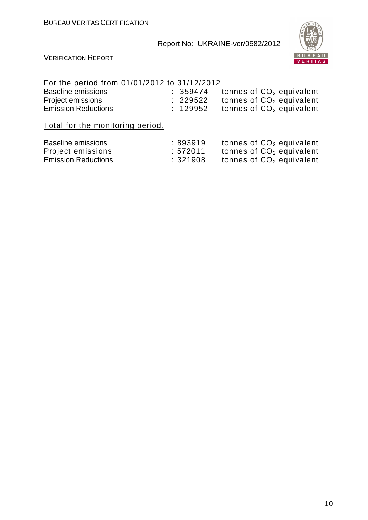

#### VERIFICATION REPORT

#### For the period from 01/01/2012 to 31/12/2012

| Baseline emissions         | : 359474 | tonnes of $CO2$ equivalent |
|----------------------------|----------|----------------------------|
| Project emissions          | : 229522 | tonnes of $CO2$ equivalent |
| <b>Emission Reductions</b> | : 129952 | tonnes of $CO2$ equivalent |

Total for the monitoring period.

| Baseline emissions         | :893919 | tonnes of $CO2$ equivalent |
|----------------------------|---------|----------------------------|
| Project emissions          | :572011 | tonnes of $CO2$ equivalent |
| <b>Emission Reductions</b> | :321908 | tonnes of $CO2$ equivalent |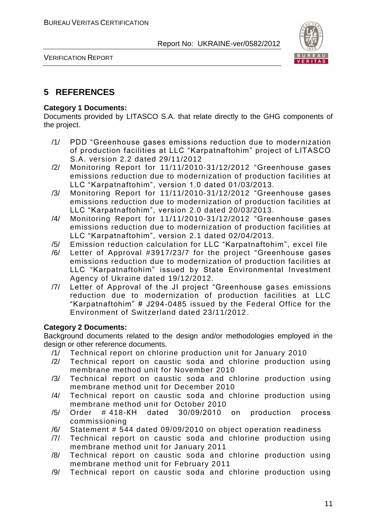

VERIFICATION REPORT

#### **5 REFERENCES**

#### **Category 1 Documents:**

Documents provided by LITASCO S.A. that relate directly to the GHG components of the project.

- /1/ PDD "Greenhouse gases emissions reduction due to modernization of production facilities at LLC "Karpatnaftohim" project of LITASCO S.A. version 2.2 dated 29/11/2012
- /2/ Monitoring Report for 11/11/2010-31/12/2012 "Greenhouse gases emissions reduction due to modernization of production facilities at LLC "Karpatnaftohim", version 1.0 dated 01/03/2013.
- /3/ Monitoring Report for 11/11/2010-31/12/2012 "Greenhouse gases emissions reduction due to modernization of production facilities at LLC "Karpatnaftohim", version 2.0 dated 20/03/2013.
- /4/ Monitoring Report for 11/11/2010-31/12/2012 "Greenhouse gases emissions reduction due to modernization of production facilities at LLC "Karpatnaftohim", version 2.1 dated 02/04/2013.
- /5/ Emission reduction calculation for LLC "Karpatnaftohim", excel file
- /6/ Letter of Approval #3917/23/7 for the project "Greenhouse gases emissions reduction due to modernization of production facilities at LLC "Karpatnaftohim" issued by State Environmental Investment Agency of Ukraine dated 19/12/2012.
- /7/ Letter of Approval of the JI project "Greenhouse gases emissions reduction due to modernization of production facilities at LLC "Karpatnaftohim" # J294-0485 issued by the Federal Office for the Environment of Switzerland dated 23/11/2012.

#### **Category 2 Documents:**

Background documents related to the design and/or methodologies employed in the design or other reference documents.

- /1/ Technical report on chlorine production unit for January 2010
- /2/ Technical report on caustic soda and chlorine production using membrane method unit for November 2010
- /3/ Technical report on caustic soda and chlorine production using membrane method unit for December 2010
- /4/ Technical report on caustic soda and chlorine production using membrane method unit for October 2010
- /5/ Order # 418-КН dated 30/09/2010 on production process commissioning
- /6/ Statement # 544 dated 09/09/2010 on object operation readiness
- /7/ Technical report on caustic soda and chlorine production using membrane method unit for January 2011
- /8/ Technical report on caustic soda and chlorine production using membrane method unit for February 2011
- /9/ Technical report on caustic soda and chlorine production using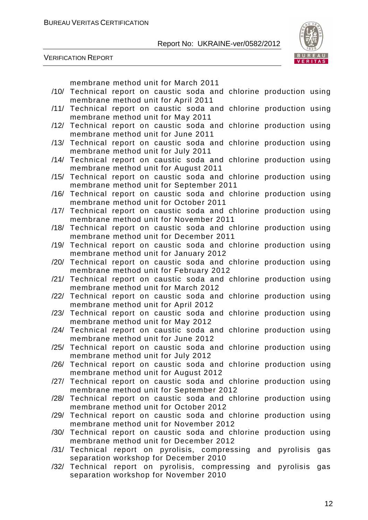

VERIFICATION REPORT

membrane method unit for March 2011

/10/ Technical report on caustic soda and chlorine production using membrane method unit for April 2011 /11/ Technical report on caustic soda and chlorine production using membrane method unit for May 2011 /12/ Technical report on caustic soda and chlorine production using membrane method unit for June 2011 /13/ Technical report on caustic soda and chlorine production using membrane method unit for July 2011 /14/ Technical report on caustic soda and chlorine production using membrane method unit for August 2011 /15/ Technical report on caustic soda and chlorine production using membrane method unit for September 2011 /16/ Technical report on caustic soda and chlorine production using membrane method unit for October 2011 /17/ Technical report on caustic soda and chlorine production using membrane method unit for November 2011 /18/ Technical report on caustic soda and chlorine production using membrane method unit for December 2011 /19/ Technical report on caustic soda and chlorine production using membrane method unit for January 2012 /20/ Technical report on caustic soda and chlorine production using membrane method unit for February 2012 /21/ Technical report on caustic soda and chlorine production using membrane method unit for March 2012 /22/ Technical report on caustic soda and chlorine production using membrane method unit for April 2012 /23/ Technical report on caustic soda and chlorine production using membrane method unit for May 2012 /24/ Technical report on caustic soda and chlorine production using membrane method unit for June 2012 /25/ Technical report on caustic soda and chlorine production using membrane method unit for July 2012 /26/ Technical report on caustic soda and chlorine production using membrane method unit for August 2012 /27/ Technical report on caustic soda and chlorine production using membrane method unit for September 2012 /28/ Technical report on caustic soda and chlorine production using membrane method unit for October 2012 /29/ Technical report on caustic soda and chlorine production using membrane method unit for November 2012 /30/ Technical report on caustic soda and chlorine production using membrane method unit for December 2012 /31/ Technical report on pyrolisis, compressing and pyrolisis gas separation workshop for December 2010 /32/ Technical report on pyrolisis, compressing and pyrolisis gas separation workshop for November 2010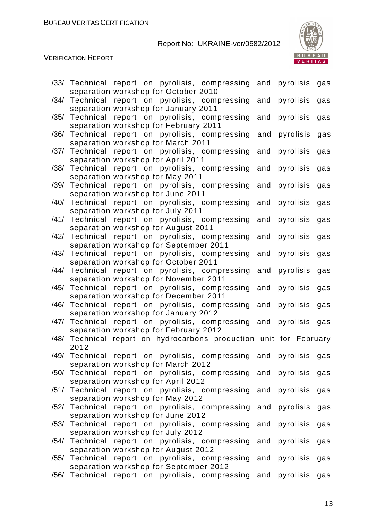



|      |                | /33/ Technical report on pyrolisis, compressing and pyrolisis      |     |               | gas |
|------|----------------|--------------------------------------------------------------------|-----|---------------|-----|
|      |                | separation workshop for October 2010                               |     |               |     |
|      |                | /34/ Technical report on pyrolisis, compressing and pyrolisis      |     |               | gas |
|      |                | separation workshop for January 2011                               |     |               |     |
|      |                | /35/ Technical report on pyrolisis, compressing                    | and | pyrolisis     | gas |
|      |                | separation workshop for February 2011                              |     |               |     |
| /36/ |                | Technical report on pyrolisis, compressing and pyrolisis           |     |               | gas |
|      |                | separation workshop for March 2011                                 |     |               |     |
|      |                | /37/ Technical report on pyrolisis, compressing and pyrolisis      |     |               | gas |
|      |                | separation workshop for April 2011                                 |     |               |     |
|      |                | /38/ Technical report on pyrolisis, compressing and                |     | pyrolisis     | gas |
|      |                | separation workshop for May 2011                                   |     |               |     |
|      |                | /39/ Technical report on pyrolisis, compressing and pyrolisis      |     |               | gas |
|      |                | separation workshop for June 2011                                  |     |               |     |
|      | /40/ Technical | report on pyrolisis, compressing and                               |     | pyrolisis     | gas |
|      |                | separation workshop for July 2011                                  |     |               |     |
|      |                | /41/ Technical report on pyrolisis, compressing                    | and | pyrolisis     | gas |
|      |                | separation workshop for August 2011                                |     |               |     |
|      |                | /42/ Technical report on pyrolisis, compressing and pyrolisis      |     |               | gas |
|      |                | separation workshop for September 2011                             |     |               |     |
| /43/ | Technical      | report on pyrolisis, compressing                                   |     | and pyrolisis | gas |
|      |                | separation workshop for October 2011                               |     |               |     |
|      |                | /44/ Technical report on pyrolisis, compressing and pyrolisis      |     |               | gas |
|      |                | separation workshop for November 2011                              |     |               |     |
|      |                | /45/ Technical report on pyrolisis, compressing and                |     | pyrolisis     | gas |
|      |                | separation workshop for December 2011                              |     |               |     |
| /46/ |                | Technical report on pyrolisis, compressing and pyrolisis           |     |               | gas |
|      |                | separation workshop for January 2012                               |     |               |     |
|      |                | /47/ Technical report on pyrolisis, compressing and pyrolisis      |     |               | gas |
|      |                | separation workshop for February 2012                              |     |               |     |
|      | 2012           | /48/ Technical report on hydrocarbons production unit for February |     |               |     |
|      |                | /49/ Technical report on pyrolisis, compressing and pyrolisis gas  |     |               |     |
|      |                | separation workshop for March 2012                                 |     |               |     |
|      |                | /50/ Technical report on pyrolisis, compressing and pyrolisis      |     |               | gas |
|      |                | separation workshop for April 2012                                 |     |               |     |
|      |                | /51/ Technical report on pyrolisis, compressing and pyrolisis      |     |               | gas |
|      |                | separation workshop for May 2012                                   |     |               |     |
|      |                | /52/ Technical report on pyrolisis, compressing and pyrolisis      |     |               | gas |
|      |                | separation workshop for June 2012                                  |     |               |     |
|      | /53/ Technical | report on pyrolisis, compressing                                   | and | pyrolisis     | gas |
|      |                | separation workshop for July 2012                                  |     |               |     |
|      |                | /54/ Technical report on pyrolisis, compressing                    |     | and pyrolisis | gas |
|      |                | separation workshop for August 2012                                |     |               |     |
|      | /55/ Technical | report on pyrolisis, compressing                                   | and | pyrolisis     | gas |
|      |                | separation workshop for September 2012                             |     |               |     |
|      | /56/ Technical | report on pyrolisis, compressing and                               |     | pyrolisis     | gas |
|      |                |                                                                    |     |               |     |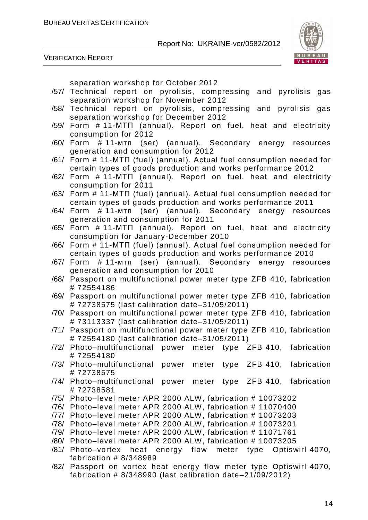



separation workshop for October 2012

- /57/ Technical report on pyrolisis, compressing and pyrolisis gas separation workshop for November 2012
- /58/ Technical report on pyrolisis, compressing and pyrolisis gas separation workshop for December 2012
- /59/ Form # 11-МТП (annual). Report on fuel, heat and electricity consumption for 2012
- /60/ Form # 11-мтп (ser) (annual). Secondary energy resources generation and consumption for 2012
- /61/ Form # 11-МТП (fuel) (annual). Actual fuel consumption needed for certain types of goods production and works performance 2012
- /62/ Form # 11-МТП (annual). Report on fuel, heat and electricity consumption for 2011
- /63/ Form # 11-МТП (fuel) (annual). Actual fuel consumption needed for certain types of goods production and works performance 2011
- /64/ Form # 11-мтп (ser) (annual). Secondary energy resources generation and consumption for 2011
- /65/ Form # 11-МТП (annual). Report on fuel, heat and electricity consumption for January-December 2010
- /66/ Form # 11-МТП (fuel) (annual). Actual fuel consumption needed for certain types of goods production and works performance 2010
- /67/ Form # 11-мтп (ser) (annual). Secondary energy resources generation and consumption for 2010
- /68/ Passport on multifunctional power meter type ZFB 410, fabrication # 72554186
- /69/ Passport on multifunctional power meter type ZFB 410, fabrication # 72738575 (last calibration date–31/05/2011)
- /70/ Passport on multifunctional power meter type ZFB 410, fabrication # 73113337 (last calibration date–31/05/2011)
- /71/ Passport on multifunctional power meter type ZFB 410, fabrication # 72554180 (last calibration date–31/05/2011)
- /72/ Photo–multifunctional power meter type ZFB 410, fabrication # 72554180
- /73/ Photo–multifunctional power meter type ZFB 410, fabrication # 72738575
- /74/ Photo–multifunctional power meter type ZFB 410, fabrication # 72738581
- /75/ Photo–level meter APR 2000 ALW, fabrication # 10073202
- /76/ Photo–level meter APR 2000 ALW, fabrication # 11070400
- /77/ Photo–level meter APR 2000 ALW, fabrication # 10073203
- /78/ Photo–level meter APR 2000 ALW, fabrication # 10073201
- /79/ Photo–level meter APR 2000 ALW, fabrication # 11071761
- /80/ Photo–level meter APR 2000 ALW, fabrication # 10073205
- /81/ Photo–vortex heat energy flow meter type Optiswirl 4070, fabrication # 8/348989
- /82/ Passport on vortex heat energy flow meter type Optiswirl 4070, fabrication # 8/348990 (last calibration date–21/09/2012)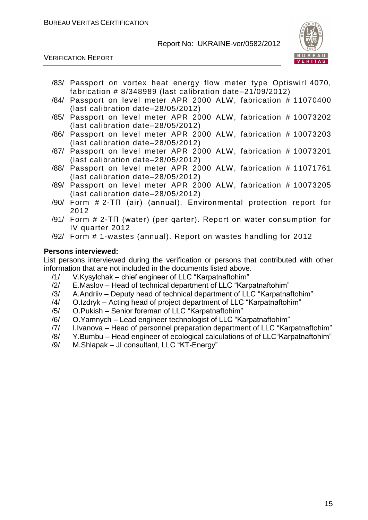

VERIFICATION REPORT

- /83/ Passport on vortex heat energy flow meter type Optiswirl 4070, fabrication # 8/348989 (last calibration date–21/09/2012)
- /84/ Passport on level meter APR 2000 ALW, fabrication # 11070400 (last calibration date–28/05/2012)
- /85/ Passport on level meter APR 2000 ALW, fabrication # 10073202 (last calibration date–28/05/2012)
- /86/ Passport on level meter APR 2000 ALW, fabrication # 10073203 (last calibration date–28/05/2012)
- /87/ Passport on level meter APR 2000 ALW, fabrication # 10073201 (last calibration date–28/05/2012)
- /88/ Passport on level meter APR 2000 ALW, fabrication # 11071761 (last calibration date–28/05/2012)
- /89/ Passport on level meter APR 2000 ALW, fabrication # 10073205 (last calibration date–28/05/2012)
- /90/ Form # 2-ТП (air) (annual). Environmental protection report for 2012
- /91/ Form # 2-ТП (water) (per qarter). Report on water consumption for IV quarter 2012
- /92/ Form # 1-wastes (annual). Report on wastes handling for 2012

#### **Persons interviewed:**

List persons interviewed during the verification or persons that contributed with other information that are not included in the documents listed above.

- /1/ V.Kysylchak chief engineer of LLC "Karpatnaftohim"
- /2/ E.Maslov Head of technical department of LLC "Karpatnaftohim"
- /3/ A.Andriiv Deputy head of technical department of LLC "Karpatnaftohim"
- /4/ O.Izdryk Acting head of project department of LLC "Karpatnaftohim"
- /5/ O.Pukish Senior foreman of LLC "Karpatnaftohim"
- /6/ O.Yamnych Lead engineer technologist of LLC "Karpatnaftohim"
- /7/ I.Ivanova Head of personnel preparation department of LLC "Karpatnaftohim"
- /8/ Y.Bumbu Head engineer of ecological calculations of of LLC"Karpatnaftohim"
- /9/ M.Shlapak JI consultant, LLC "KT-Energy"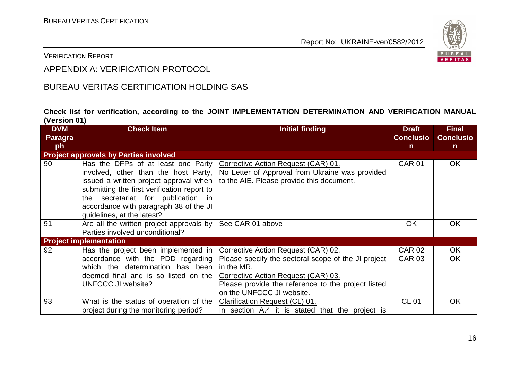

VERIFICATION REPORT

### APPENDIX A: VERIFICATION PROTOCOL

#### BUREAU VERITAS CERTIFICATION HOLDING SAS

**Check list for verification, according to the JOINT IMPLEMENTATION DETERMINATION AND VERIFICATION MANUAL (Version 01)**

| <b>DVM</b><br>Paragra | <b>Check Item</b>                                                                                                                                                                                                                                                                 | <b>Initial finding</b>                                                                                                                                                                                                             | <b>Draft</b><br><b>Conclusio</b> | <b>Final</b><br><b>Conclusio</b> |
|-----------------------|-----------------------------------------------------------------------------------------------------------------------------------------------------------------------------------------------------------------------------------------------------------------------------------|------------------------------------------------------------------------------------------------------------------------------------------------------------------------------------------------------------------------------------|----------------------------------|----------------------------------|
| ph                    |                                                                                                                                                                                                                                                                                   |                                                                                                                                                                                                                                    | $\mathsf{n}$                     | n                                |
|                       | <b>Project approvals by Parties involved</b>                                                                                                                                                                                                                                      |                                                                                                                                                                                                                                    |                                  |                                  |
| 90                    | Has the DFPs of at least one Party<br>involved, other than the host Party,<br>issued a written project approval when<br>submitting the first verification report to<br>the secretariat for publication in<br>accordance with paragraph 38 of the JI<br>guidelines, at the latest? | Corrective Action Request (CAR) 01.<br>No Letter of Approval from Ukraine was provided<br>to the AIE. Please provide this document.                                                                                                | <b>CAR 01</b>                    | OK.                              |
| 91                    | Are all the written project approvals by  <br>Parties involved unconditional?                                                                                                                                                                                                     | See CAR 01 above                                                                                                                                                                                                                   | OK                               | <b>OK</b>                        |
|                       | <b>Project implementation</b>                                                                                                                                                                                                                                                     |                                                                                                                                                                                                                                    |                                  |                                  |
| 92                    | Has the project been implemented in<br>accordance with the PDD regarding<br>which the determination has been<br>deemed final and is so listed on the<br><b>UNFCCC JI website?</b>                                                                                                 | Corrective Action Request (CAR) 02.<br>Please specify the sectoral scope of the JI project<br>in the MR.<br>Corrective Action Request (CAR) 03.<br>Please provide the reference to the project listed<br>on the UNFCCC JI website. | <b>CAR 02</b><br><b>CAR 03</b>   | OK.<br>OK.                       |
| 93                    | What is the status of operation of the $\vert$<br>project during the monitoring period?                                                                                                                                                                                           | Clarification Request (CL) 01.<br>In section A.4 it is stated that the project is                                                                                                                                                  | <b>CL 01</b>                     | <b>OK</b>                        |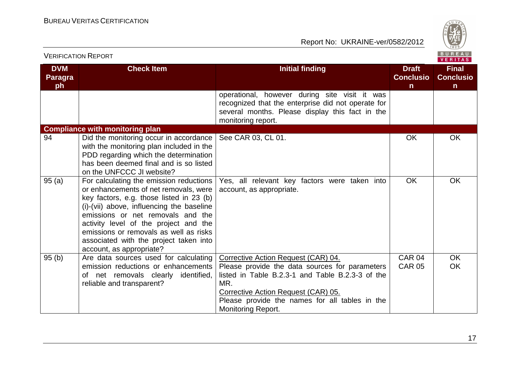

|                             | <b>VERIFICATION REPORT</b>                                                                                                                                                                                                                                                                                                                                              |                                                                                                                                                                                                                                 |                                                  | B U R E A U  <br><b>VERITAS</b>                  |
|-----------------------------|-------------------------------------------------------------------------------------------------------------------------------------------------------------------------------------------------------------------------------------------------------------------------------------------------------------------------------------------------------------------------|---------------------------------------------------------------------------------------------------------------------------------------------------------------------------------------------------------------------------------|--------------------------------------------------|--------------------------------------------------|
| <b>DVM</b><br>Paragra<br>ph | <b>Check Item</b>                                                                                                                                                                                                                                                                                                                                                       | <b>Initial finding</b>                                                                                                                                                                                                          | <b>Draft</b><br><b>Conclusio</b><br>$\mathsf{n}$ | <b>Final</b><br><b>Conclusio</b><br>$\mathsf{n}$ |
|                             |                                                                                                                                                                                                                                                                                                                                                                         | operational, however during site visit it was<br>recognized that the enterprise did not operate for<br>several months. Please display this fact in the<br>monitoring report.                                                    |                                                  |                                                  |
|                             | <b>Compliance with monitoring plan</b>                                                                                                                                                                                                                                                                                                                                  |                                                                                                                                                                                                                                 |                                                  |                                                  |
| 94                          | Did the monitoring occur in accordance<br>with the monitoring plan included in the<br>PDD regarding which the determination<br>has been deemed final and is so listed<br>on the UNFCCC JI website?                                                                                                                                                                      | See CAR 03, CL 01.                                                                                                                                                                                                              | <b>OK</b>                                        | <b>OK</b>                                        |
| 95(a)                       | For calculating the emission reductions<br>or enhancements of net removals, were<br>key factors, e.g. those listed in 23 (b)<br>(i)-(vii) above, influencing the baseline<br>emissions or net removals and the<br>activity level of the project and the<br>emissions or removals as well as risks<br>associated with the project taken into<br>account, as appropriate? | Yes, all relevant key factors were taken into<br>account, as appropriate.                                                                                                                                                       | <b>OK</b>                                        | OK                                               |
| 95(b)                       | Are data sources used for calculating                                                                                                                                                                                                                                                                                                                                   | Corrective Action Request (CAR) 04.                                                                                                                                                                                             | <b>CAR 04</b>                                    | <b>OK</b>                                        |
|                             | emission reductions or enhancements<br>of net removals clearly identified,<br>reliable and transparent?                                                                                                                                                                                                                                                                 | Please provide the data sources for parameters<br>listed in Table B.2.3-1 and Table B.2.3-3 of the<br>MR.<br>Corrective Action Request (CAR) 05.<br>Please provide the names for all tables in the<br><b>Monitoring Report.</b> | <b>CAR 05</b>                                    | <b>OK</b>                                        |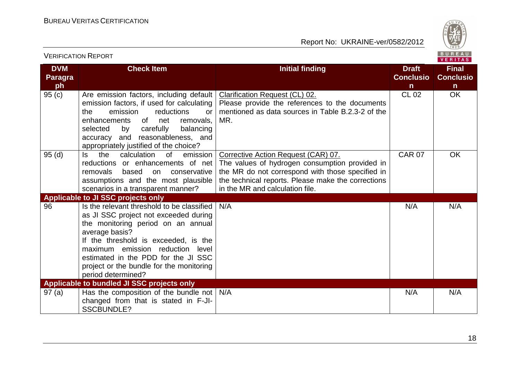

| VERIFICATION REPORT                |                                                                                                                                                                                                                                                                                                                                  |                                                                                                                                                                                                                                    |                                                  | <b>VERITAS</b>                                   |
|------------------------------------|----------------------------------------------------------------------------------------------------------------------------------------------------------------------------------------------------------------------------------------------------------------------------------------------------------------------------------|------------------------------------------------------------------------------------------------------------------------------------------------------------------------------------------------------------------------------------|--------------------------------------------------|--------------------------------------------------|
| <b>DVM</b><br><b>Paragra</b><br>ph | <b>Check Item</b>                                                                                                                                                                                                                                                                                                                | <b>Initial finding</b>                                                                                                                                                                                                             | <b>Draft</b><br><b>Conclusio</b><br>$\mathsf{n}$ | <b>Final</b><br><b>Conclusio</b><br>$\mathsf{n}$ |
| 95(c)                              | Are emission factors, including default<br>emission factors, if used for calculating<br>emission<br>reductions<br>the<br><b>or</b><br>enhancements<br>of<br>net<br>removals,<br>balancing<br>selected<br>carefully<br>by<br>accuracy and reasonableness, and<br>appropriately justified of the choice?                           | Clarification Request (CL) 02.<br>Please provide the references to the documents<br>mentioned as data sources in Table B.2.3-2 of the<br>MR.                                                                                       | <b>CL 02</b>                                     | <b>OK</b>                                        |
| 95(d)                              | calculation<br>emission<br>of<br>ls.<br>the<br>reductions or enhancements of net<br>removals<br>based<br>on conservative<br>assumptions and the most plausible<br>scenarios in a transparent manner?                                                                                                                             | Corrective Action Request (CAR) 07.<br>The values of hydrogen consumption provided in<br>the MR do not correspond with those specified in<br>the technical reports. Please make the corrections<br>in the MR and calculation file. | <b>CAR 07</b>                                    | OK                                               |
|                                    | <b>Applicable to JI SSC projects only</b>                                                                                                                                                                                                                                                                                        |                                                                                                                                                                                                                                    |                                                  |                                                  |
| 96                                 | Is the relevant threshold to be classified<br>as JI SSC project not exceeded during<br>the monitoring period on an annual<br>average basis?<br>If the threshold is exceeded, is the<br>maximum emission reduction level<br>estimated in the PDD for the JI SSC<br>project or the bundle for the monitoring<br>period determined? | N/A                                                                                                                                                                                                                                | N/A                                              | N/A                                              |
|                                    | <b>Applicable to bundled JI SSC projects only</b>                                                                                                                                                                                                                                                                                |                                                                                                                                                                                                                                    |                                                  |                                                  |
| 97(a)                              | Has the composition of the bundle not $\vert$ N/A<br>changed from that is stated in F-JI-<br><b>SSCBUNDLE?</b>                                                                                                                                                                                                                   |                                                                                                                                                                                                                                    | N/A                                              | N/A                                              |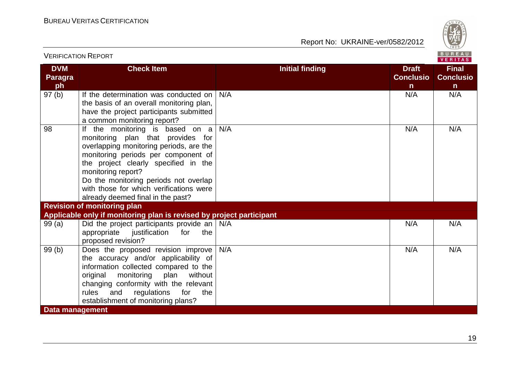

|                                    | <b>VERIFICATION REPORT</b>                                                                                                                                                                                                                                                                                                                    |                        |                                        | B U R E A U  <br>VERITAS                         |  |
|------------------------------------|-----------------------------------------------------------------------------------------------------------------------------------------------------------------------------------------------------------------------------------------------------------------------------------------------------------------------------------------------|------------------------|----------------------------------------|--------------------------------------------------|--|
| <b>DVM</b><br><b>Paragra</b><br>ph | <b>Check Item</b>                                                                                                                                                                                                                                                                                                                             | <b>Initial finding</b> | <b>Draft</b><br><b>Conclusio</b><br>n. | <b>Final</b><br><b>Conclusio</b><br>$\mathsf{n}$ |  |
| 97(b)                              | If the determination was conducted on<br>the basis of an overall monitoring plan,<br>have the project participants submitted<br>a common monitoring report?                                                                                                                                                                                   | N/A                    | N/A                                    | N/A                                              |  |
| 98                                 | If the monitoring is based on a<br>monitoring plan that provides for<br>overlapping monitoring periods, are the<br>monitoring periods per component of<br>the project clearly specified in the<br>monitoring report?<br>Do the monitoring periods not overlap<br>with those for which verifications were<br>already deemed final in the past? | N/A                    | N/A                                    | N/A                                              |  |
|                                    | <b>Revision of monitoring plan</b>                                                                                                                                                                                                                                                                                                            |                        |                                        |                                                  |  |
|                                    | Applicable only if monitoring plan is revised by project participant                                                                                                                                                                                                                                                                          |                        |                                        |                                                  |  |
| 99(a)                              | Did the project participants provide an $\vert$ N/A<br>appropriate<br>justification for<br>the<br>proposed revision?                                                                                                                                                                                                                          |                        | N/A                                    | N/A                                              |  |
| 99(b)                              | Does the proposed revision improve<br>the accuracy and/or applicability of<br>information collected compared to the<br>original<br>monitoring<br>plan<br>without<br>changing conformity with the relevant<br>rules<br>and<br>regulations<br>for<br>the<br>establishment of monitoring plans?                                                  | N/A                    | N/A                                    | N/A                                              |  |
| <b>Data management</b>             |                                                                                                                                                                                                                                                                                                                                               |                        |                                        |                                                  |  |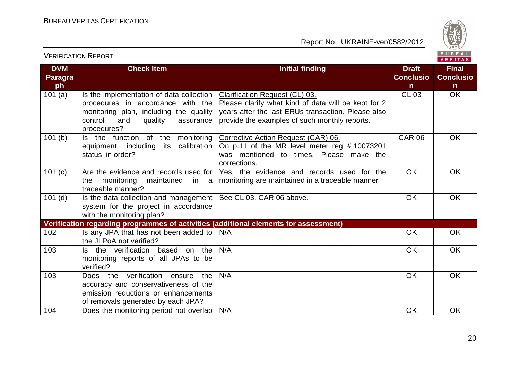

VERIFICATION REPORT VERITAS **DVM Check Item Initial finding Initial finding Draft Draft Final Paragra Conclusio Conclusio ph n n**  $CL 03$  OK 101 (a)  $\vert$  Is the implementation of data collection Clarification Request (CL) 03. Please clarify what kind of data will be kept for 2 procedures in accordance with the years after the last ERUs transaction. Please also monitoring plan, including the quality control and quality assurance provide the examples of such monthly reports. procedures? 101 (b) Is the function of the monitoring Corrective Action Request (CAR) 06. CAR 06 OK equipment, including its calibration On p.11 of the MR level meter reg. # 10073201 status, in order? was mentioned to times. Please make the corrections. 101 (c) Are the evidence and records used for Yes, the evidence and records used for the OK OK the monitoring maintained in a monitoring are maintained in a traceable manner traceable manner? See CL 03, CAR 06 above. 
and the contract of the CH of the CH of the CH of the CH of the CH of the CH of the CH of the CH of the CH of the CH of the CH of the CH of the CH of the CH of the CH of the CH of the CH of the CH 101 (d)  $\vert$  is the data collection and management system for the project in accordance with the monitoring plan? **Verification regarding programmes of activities (additional elements for assessment)** 102 **Is any JPA that has not been added to**  $N/A$ N/A OK OK the JI PoA not verified? 103 Is the verification based on the N/A OK OK monitoring reports of all JPAs to be verified? 103 Does the verification ensure the N/A OK OK accuracy and conservativeness of the emission reductions or enhancements of removals generated by each JPA? 104 Does the monitoring period not overlap N/A COK OK OK OK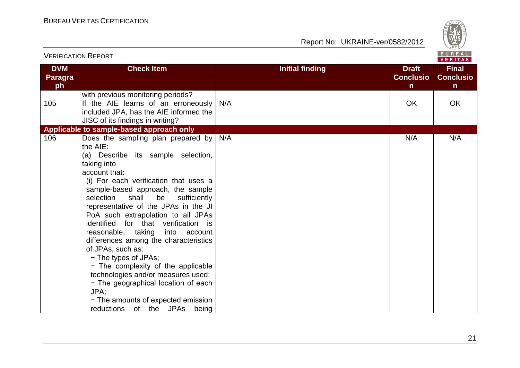

|                                    | <b>VERIFICATION REPORT</b>                                                                                                                                                                                                                                                                                                                                                                                                                                                                                                                                                                                                                                                                          |                        |                                                  | BUREAU<br><b>VERITAS</b>                         |
|------------------------------------|-----------------------------------------------------------------------------------------------------------------------------------------------------------------------------------------------------------------------------------------------------------------------------------------------------------------------------------------------------------------------------------------------------------------------------------------------------------------------------------------------------------------------------------------------------------------------------------------------------------------------------------------------------------------------------------------------------|------------------------|--------------------------------------------------|--------------------------------------------------|
| <b>DVM</b><br><b>Paragra</b><br>ph | <b>Check Item</b>                                                                                                                                                                                                                                                                                                                                                                                                                                                                                                                                                                                                                                                                                   | <b>Initial finding</b> | <b>Draft</b><br><b>Conclusio</b><br>$\mathsf{n}$ | <b>Final</b><br><b>Conclusio</b><br>$\mathsf{n}$ |
|                                    | with previous monitoring periods?                                                                                                                                                                                                                                                                                                                                                                                                                                                                                                                                                                                                                                                                   |                        |                                                  |                                                  |
| 105                                | If the AIE learns of an erroneously<br>included JPA, has the AIE informed the<br>JISC of its findings in writing?                                                                                                                                                                                                                                                                                                                                                                                                                                                                                                                                                                                   | N/A                    | <b>OK</b>                                        | OK                                               |
|                                    | Applicable to sample-based approach only                                                                                                                                                                                                                                                                                                                                                                                                                                                                                                                                                                                                                                                            |                        |                                                  |                                                  |
| 106                                | Does the sampling plan prepared by<br>the AIE:<br>(a) Describe its sample selection,<br>taking into<br>account that:<br>(i) For each verification that uses a<br>sample-based approach, the sample<br>shall<br>sufficiently<br>selection<br>be<br>representative of the JPAs in the JI<br>PoA such extrapolation to all JPAs<br>identified for that verification is<br>reasonable, taking<br>into account<br>differences among the characteristics<br>of JPAs, such as:<br>- The types of JPAs;<br>- The complexity of the applicable<br>technologies and/or measures used;<br>- The geographical location of each<br>JPA;<br>- The amounts of expected emission<br>reductions of the JPAs<br>being | N/A                    | N/A                                              | N/A                                              |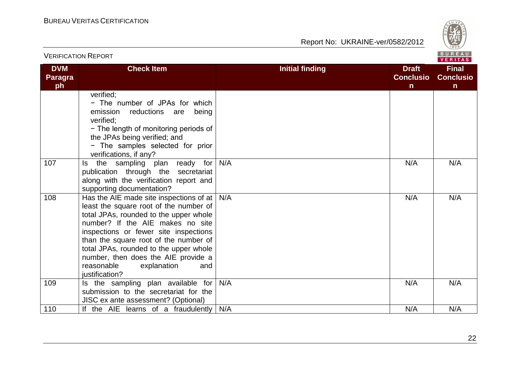

|                                    | <b>VERIFICATION REPORT</b>                                                                                                                                                                                                                                                                                                                                                                   |                                                                            | BUREAU<br><b>VERITAS</b>                         |  |
|------------------------------------|----------------------------------------------------------------------------------------------------------------------------------------------------------------------------------------------------------------------------------------------------------------------------------------------------------------------------------------------------------------------------------------------|----------------------------------------------------------------------------|--------------------------------------------------|--|
| <b>DVM</b><br><b>Paragra</b><br>ph | <b>Check Item</b>                                                                                                                                                                                                                                                                                                                                                                            | <b>Initial finding</b><br><b>Draft</b><br><b>Conclusio</b><br>$\mathsf{n}$ | <b>Final</b><br><b>Conclusio</b><br>$\mathsf{n}$ |  |
|                                    | verified;<br>- The number of JPAs for which<br>emission<br>reductions<br>are<br>being<br>verified:<br>- The length of monitoring periods of<br>the JPAs being verified; and<br>- The samples selected for prior<br>verifications, if any?                                                                                                                                                    |                                                                            |                                                  |  |
| 107                                | the sampling plan ready for<br>ls.<br>publication through the secretariat<br>along with the verification report and<br>supporting documentation?                                                                                                                                                                                                                                             | N/A<br>N/A                                                                 | N/A                                              |  |
| 108                                | Has the AIE made site inspections of at $ $<br>least the square root of the number of<br>total JPAs, rounded to the upper whole<br>number? If the AIE makes no site<br>inspections or fewer site inspections<br>than the square root of the number of<br>total JPAs, rounded to the upper whole<br>number, then does the AIE provide a<br>reasonable<br>explanation<br>and<br>justification? | N/A<br>N/A                                                                 | N/A                                              |  |
| 109                                | Is the sampling plan available for<br>submission to the secretariat for the<br>JISC ex ante assessment? (Optional)                                                                                                                                                                                                                                                                           | N/A<br>N/A                                                                 | N/A                                              |  |
| 110                                | If the AIE learns of a fraudulently                                                                                                                                                                                                                                                                                                                                                          | N/A<br>N/A                                                                 | N/A                                              |  |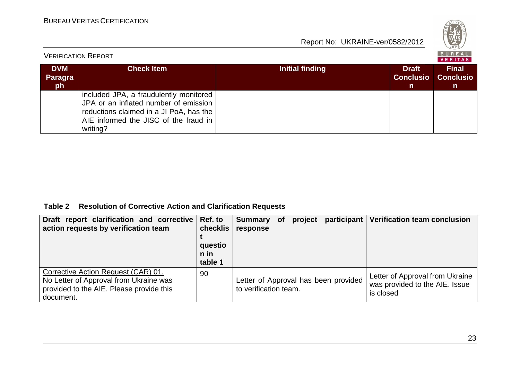| 828 |  |
|-----|--|
| G.  |  |

| <b>VERIFICATION REPORT</b>  |                                                                                                                                                                                 |                 |                                                  | BUREAU<br>VERITAS                      |
|-----------------------------|---------------------------------------------------------------------------------------------------------------------------------------------------------------------------------|-----------------|--------------------------------------------------|----------------------------------------|
| <b>DVM</b><br>Paragra<br>ph | <b>Check Item</b>                                                                                                                                                               | Initial finding | <b>Draft</b><br><b>Conclusio</b><br>$\mathsf{n}$ | <b>Final</b><br><b>Conclusio</b><br>n. |
|                             | included JPA, a fraudulently monitored<br>JPA or an inflated number of emission<br>reductions claimed in a JI PoA, has the<br>AIE informed the JISC of the fraud in<br>writing? |                 |                                                  |                                        |

#### **Table 2 Resolution of Corrective Action and Clarification Requests**

| Draft report clarification and corrective Ref. to<br>action requests by verification team                                              | checklis<br>questio<br>n in<br>table 1 | Summary of project<br>response                                |  | participant   Verification team conclusion                                     |
|----------------------------------------------------------------------------------------------------------------------------------------|----------------------------------------|---------------------------------------------------------------|--|--------------------------------------------------------------------------------|
| Corrective Action Request (CAR) 01.<br>No Letter of Approval from Ukraine was<br>provided to the AIE. Please provide this<br>document. | 90                                     | Letter of Approval has been provided<br>to verification team. |  | Letter of Approval from Ukraine<br>was provided to the AIE. Issue<br>is closed |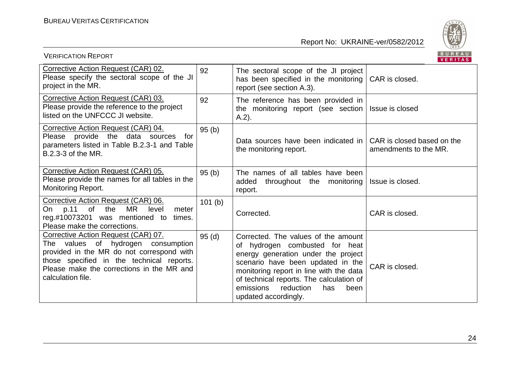

| <b>VERIFICATION REPORT</b>                                                                                                                                                                                                            |        |                                                                                                                                                                                                                                                                                                           | BUREAU<br>VERITAS                                   |
|---------------------------------------------------------------------------------------------------------------------------------------------------------------------------------------------------------------------------------------|--------|-----------------------------------------------------------------------------------------------------------------------------------------------------------------------------------------------------------------------------------------------------------------------------------------------------------|-----------------------------------------------------|
| Corrective Action Request (CAR) 02.<br>Please specify the sectoral scope of the JI<br>project in the MR.                                                                                                                              | 92     | The sectoral scope of the JI project<br>has been specified in the monitoring   CAR is closed.<br>report (see section A.3).                                                                                                                                                                                |                                                     |
| Corrective Action Request (CAR) 03.<br>Please provide the reference to the project<br>listed on the UNFCCC JI website.                                                                                                                | 92     | The reference has been provided in<br>the monitoring report (see section)<br>$A.2$ ).                                                                                                                                                                                                                     | Issue is closed                                     |
| Corrective Action Request (CAR) 04.<br>Please provide the data sources for<br>parameters listed in Table B.2.3-1 and Table<br>B.2.3-3 of the MR.                                                                                      | 95(b)  | Data sources have been indicated in<br>the monitoring report.                                                                                                                                                                                                                                             | CAR is closed based on the<br>amendments to the MR. |
| Corrective Action Request (CAR) 05.<br>Please provide the names for all tables in the<br>Monitoring Report.                                                                                                                           | 95(b)  | The names of all tables have been<br>added<br>throughout the monitoring<br>report.                                                                                                                                                                                                                        | Issue is closed.                                    |
| Corrective Action Request (CAR) 06.<br>p.11<br>MR.<br>of the<br>On<br>level<br>meter<br>reg.#10073201 was mentioned to times.<br>Please make the corrections.                                                                         | 101(b) | Corrected.                                                                                                                                                                                                                                                                                                | CAR is closed.                                      |
| Corrective Action Request (CAR) 07.<br>The values of hydrogen consumption<br>provided in the MR do not correspond with<br>those specified in the technical reports.<br>Please make the corrections in the MR and<br>calculation file. | 95(d)  | Corrected. The values of the amount<br>of hydrogen combusted for heat<br>energy generation under the project<br>scenario have been updated in the<br>monitoring report in line with the data<br>of technical reports. The calculation of<br>emissions<br>reduction<br>has<br>been<br>updated accordingly. | CAR is closed.                                      |